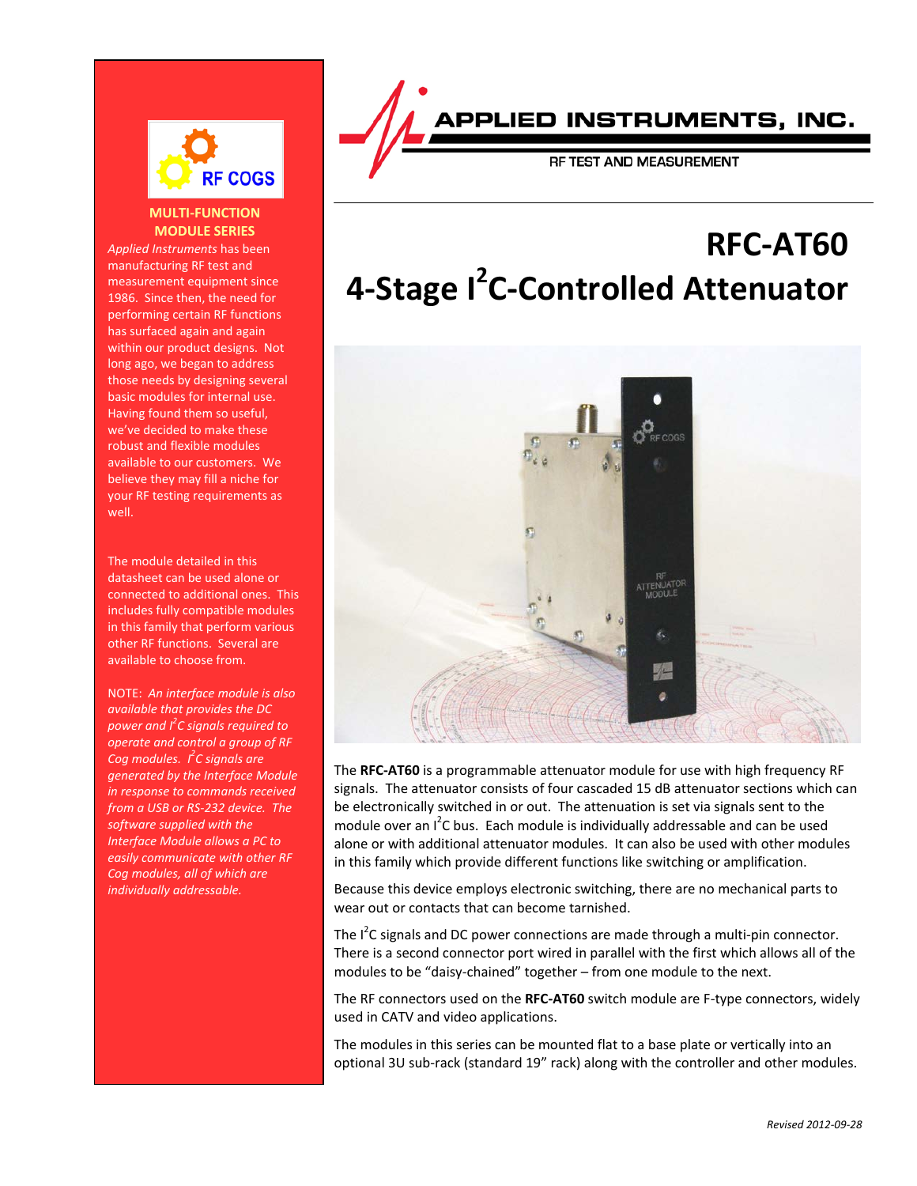

## **MULTI-FUNCTION MODULE SERIES**

*Applied Instruments* has been manufacturing RF test and measurement equipment since 1986. Since then, the need for performing certain RF functions has surfaced again and again within our product designs. Not long ago, we began to address those needs by designing several basic modules for internal use. Having found them so useful, we've decided to make these robust and flexible modules available to our customers. We believe they may fill a niche for your RF testing requirements as well.

The module detailed in this datasheet can be used alone or connected to additional ones. This includes fully compatible modules in this family that perform various other RF functions. Several are available to choose from.

NOTE: *An interface module is also available that provides the DC power and I 2 C signals required to operate and control a group of RF Cog modules. I2 C signals are generated by the Interface Module in response to commands received from a USB or RS-232 device. The software supplied with the Interface Module allows a PC to easily communicate with other RF Cog modules, all of which are individually addressable.*

APPLIED INSTRUMENTS, INC.

RF TEST AND MEASUREMENT

# **RFC-AT60 4-Stage I<sup>2</sup> C-Controlled Attenuator**



The **RFC-AT60** is a programmable attenuator module for use with high frequency RF signals. The attenuator consists of four cascaded 15 dB attenuator sections which can be electronically switched in or out. The attenuation is set via signals sent to the module over an I<sup>2</sup>C bus. Each module is individually addressable and can be used alone or with additional attenuator modules. It can also be used with other modules in this family which provide different functions like switching or amplification.

Because this device employs electronic switching, there are no mechanical parts to wear out or contacts that can become tarnished.

The  $I^2$ C signals and DC power connections are made through a multi-pin connector. There is a second connector port wired in parallel with the first which allows all of the modules to be "daisy-chained" together – from one module to the next.

The RF connectors used on the **RFC-AT60** switch module are F-type connectors, widely used in CATV and video applications.

The modules in this series can be mounted flat to a base plate or vertically into an optional 3U sub-rack (standard 19" rack) along with the controller and other modules.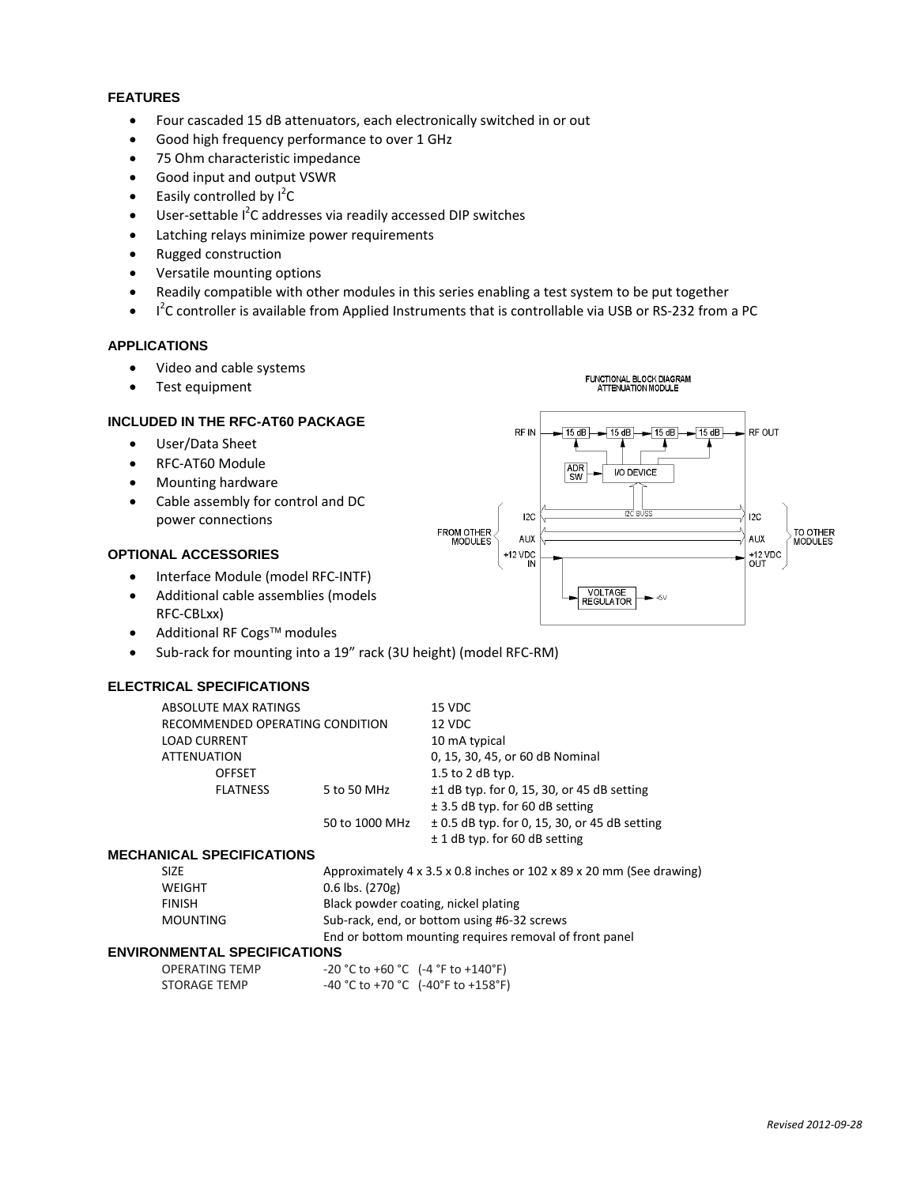### **FEATURES**

- Four cascaded 15 dB attenuators, each electronically switched in or out
- Good high frequency performance to over 1 GHz
- 75 Ohm characteristic impedance
- Good input and output VSWR
- Easily controlled by  $I^2C$
- User-settable I<sup>2</sup>C addresses via readily accessed DIP switches
- Latching relays minimize power requirements
- Rugged construction
- Versatile mounting options
- Readily compatible with other modules in this series enabling a test system to be put together
- $\bullet$  I<sup>2</sup>C controller is available from Applied Instruments that is controllable via USB or RS-232 from a PC

FROM OTHER<br>MODULES

RF IN

 $12C$ 

**AUX** 

 $+12$  VDC IN ADR<br>SW

FUNCTIONAL BLOCK DIAGRAM<br>ATTENUATION MODULE

I/O DEVICE

VOLTAGE<br>REGULATOR

 $-15 dB$   $\rightarrow$  15 dB  $-$  15 dB  $\rightarrow$  15 dB

 $\mathbf{r}$ 

 $+5\lambda$ 

RF OUT

 $12C$ 

**AUX** 

+12 VDC<br>OUT

TO OTHER<br>MODULES

#### **APPLICATIONS**

- Video and cable systems
- Test equipment

### **INCLUDED IN THE RFC-AT60 PACKAGE**

- User/Data Sheet
- RFC-AT60 Module
- Mounting hardware
- Cable assembly for control and DC power connections

## **OPTIONAL ACCESSORIES**

- Interface Module (model RFC-INTF)
- Additional cable assemblies (models RFC-CBLxx)
- Additional RF Cogs<sup>TM</sup> modules
- Sub-rack for mounting into a 19" rack (3U height) (model RFC-RM)

## **ELECTRICAL SPECIFICATIONS**

| ABSOLUTE MAX RATINGS            |                | 15 VDC                                            |  |
|---------------------------------|----------------|---------------------------------------------------|--|
| RECOMMENDED OPERATING CONDITION |                | 12 VDC                                            |  |
| <b>LOAD CURRENT</b>             |                | 10 mA typical                                     |  |
| <b>ATTENUATION</b>              |                | 0, 15, 30, 45, or 60 dB Nominal                   |  |
| <b>OFFSET</b>                   |                | $1.5$ to 2 dB typ.                                |  |
| <b>FLATNESS</b>                 | 5 to 50 MHz    | $\pm$ 1 dB typ. for 0, 15, 30, or 45 dB setting   |  |
|                                 |                | $\pm$ 3.5 dB typ. for 60 dB setting               |  |
|                                 | 50 to 1000 MHz | $\pm$ 0.5 dB typ. for 0, 15, 30, or 45 dB setting |  |
|                                 |                | $± 1$ dB typ. for 60 dB setting                   |  |

#### **MECHANICAL SPECIFICATIONS**

| SIZE.    | Approximately $4 \times 3.5 \times 0.8$ inches or 102 $\times$ 89 $\times$ 20 mm (See drawing) |  |  |
|----------|------------------------------------------------------------------------------------------------|--|--|
| WEIGHT   | $0.6$ lbs. $(270g)$                                                                            |  |  |
| FINISH   | Black powder coating, nickel plating                                                           |  |  |
| MOUNTING | Sub-rack, end, or bottom using #6-32 screws                                                    |  |  |
|          | End or bottom mounting requires removal of front panel                                         |  |  |
|          |                                                                                                |  |  |

#### **ENVIRONMENTAL SPECIFICATIONS**

| OPERATING TEMP | $-20$ °C to +60 °C (-4 °F to +140°F)                                    |
|----------------|-------------------------------------------------------------------------|
| STORAGE TEMP   | $-40\degree$ C to +70 $\degree$ C (-40 $\degree$ F to +158 $\degree$ F) |